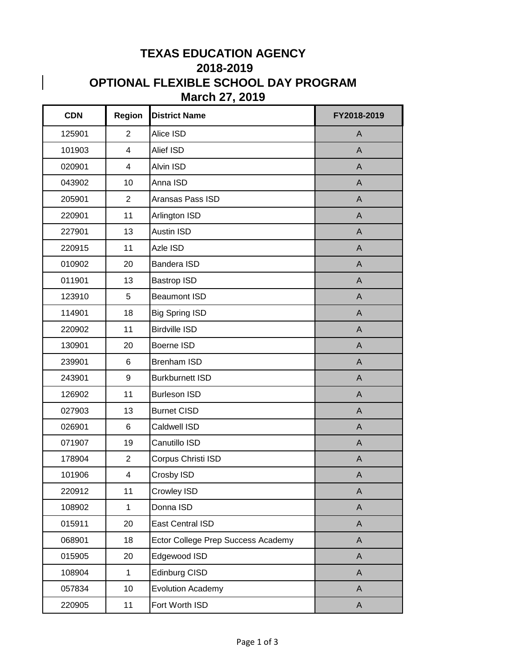## **TEXAS EDUCATION AGENCY 2018-2019 OPTIONAL FLEXIBLE SCHOOL DAY PROGRAM March 27, 2019**

 $\overline{\phantom{a}}$ 

| <b>CDN</b> | <b>Region</b>  | <b>District Name</b>               | FY2018-2019  |
|------------|----------------|------------------------------------|--------------|
| 125901     | $\overline{2}$ | Alice ISD                          | $\mathsf{A}$ |
| 101903     | 4              | Alief ISD                          | A            |
| 020901     | 4              | Alvin ISD                          | $\mathsf{A}$ |
| 043902     | 10             | Anna ISD                           | $\mathsf{A}$ |
| 205901     | $\overline{2}$ | Aransas Pass ISD                   | $\mathsf{A}$ |
| 220901     | 11             | Arlington ISD                      | $\mathsf{A}$ |
| 227901     | 13             | <b>Austin ISD</b>                  | $\mathsf{A}$ |
| 220915     | 11             | Azle ISD                           | $\mathsf{A}$ |
| 010902     | 20             | <b>Bandera ISD</b>                 | $\mathsf{A}$ |
| 011901     | 13             | <b>Bastrop ISD</b>                 | $\mathsf{A}$ |
| 123910     | 5              | <b>Beaumont ISD</b>                | $\mathsf{A}$ |
| 114901     | 18             | <b>Big Spring ISD</b>              | $\mathsf{A}$ |
| 220902     | 11             | <b>Birdville ISD</b>               | A            |
| 130901     | 20             | Boerne ISD                         | $\mathsf{A}$ |
| 239901     | 6              | <b>Brenham ISD</b>                 | A            |
| 243901     | 9              | <b>Burkburnett ISD</b>             | $\mathsf{A}$ |
| 126902     | 11             | <b>Burleson ISD</b>                | $\mathsf{A}$ |
| 027903     | 13             | <b>Burnet CISD</b>                 | $\mathsf{A}$ |
| 026901     | 6              | Caldwell ISD                       | $\mathsf{A}$ |
| 071907     | 19             | Canutillo ISD                      | A            |
| 178904     | $\overline{2}$ | Corpus Christi ISD                 | $\mathsf{A}$ |
| 101906     | 4              | Crosby ISD                         | A            |
| 220912     | 11             | Crowley ISD                        | $\mathsf{A}$ |
| 108902     | $\mathbf{1}$   | Donna ISD                          | $\mathsf{A}$ |
| 015911     | 20             | East Central ISD                   | $\mathsf{A}$ |
| 068901     | 18             | Ector College Prep Success Academy | A            |
| 015905     | 20             | Edgewood ISD                       | A            |
| 108904     | $\mathbf 1$    | Edinburg CISD                      | $\mathsf{A}$ |
| 057834     | 10             | <b>Evolution Academy</b>           | A            |
| 220905     | 11             | Fort Worth ISD                     | A            |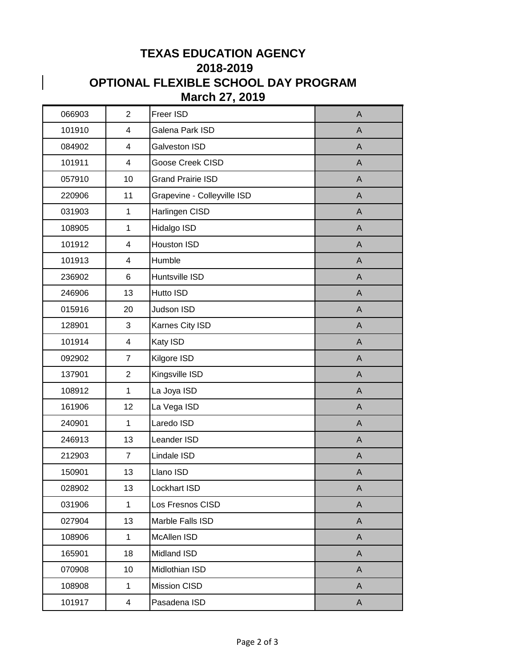## **TEXAS EDUCATION AGENCY 2018-2019 OPTIONAL FLEXIBLE SCHOOL DAY PROGRAM March 27, 2019**

 $\begin{array}{c} \hline \end{array}$ 

| 066903 | $\overline{2}$          | Freer ISD                   | A            |
|--------|-------------------------|-----------------------------|--------------|
| 101910 | 4                       | Galena Park ISD             | A            |
| 084902 | 4                       | Galveston ISD               | A            |
| 101911 | 4                       | Goose Creek CISD            | $\mathsf{A}$ |
| 057910 | 10                      | <b>Grand Prairie ISD</b>    | A            |
| 220906 | 11                      | Grapevine - Colleyville ISD | $\mathsf{A}$ |
| 031903 | $\mathbf{1}$            | Harlingen CISD              | A            |
| 108905 | $\mathbf{1}$            | Hidalgo ISD                 | A            |
| 101912 | 4                       | Houston ISD                 | A            |
| 101913 | 4                       | Humble                      | $\mathsf{A}$ |
| 236902 | 6                       | Huntsville ISD              | $\mathsf{A}$ |
| 246906 | 13                      | Hutto ISD                   | A            |
| 015916 | 20                      | Judson ISD                  | $\mathsf{A}$ |
| 128901 | 3                       | Karnes City ISD             | $\mathsf{A}$ |
| 101914 | 4                       | Katy ISD                    | $\mathsf{A}$ |
| 092902 | $\overline{7}$          | Kilgore ISD                 | $\mathsf{A}$ |
| 137901 | $\overline{2}$          | Kingsville ISD              | $\mathsf{A}$ |
| 108912 | $\mathbf{1}$            | La Joya ISD                 | A            |
| 161906 | 12                      | La Vega ISD                 | $\mathsf{A}$ |
| 240901 | $\mathbf 1$             | Laredo ISD                  | $\mathsf{A}$ |
| 246913 | 13                      | Leander ISD                 | A            |
| 212903 | $\overline{7}$          | Lindale ISD                 | $\mathsf{A}$ |
| 150901 | 13                      | Llano ISD                   | A            |
| 028902 | 13                      | Lockhart ISD                | A            |
| 031906 | 1                       | Los Fresnos CISD            | A            |
| 027904 | 13                      | Marble Falls ISD            | $\mathsf{A}$ |
| 108906 | $\mathbf 1$             | McAllen ISD                 | A            |
| 165901 | 18                      | Midland ISD                 | $\mathsf{A}$ |
| 070908 | 10                      | Midlothian ISD              | A            |
| 108908 | $\mathbf{1}$            | <b>Mission CISD</b>         | A            |
| 101917 | $\overline{\mathbf{4}}$ | Pasadena ISD                | $\mathsf{A}$ |